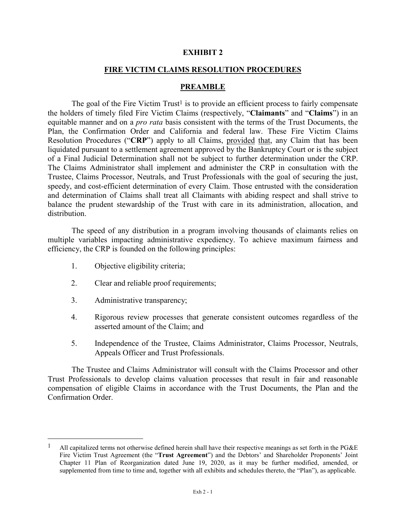## **EXHIBIT 2**

## **FIRE VICTIM CLAIMS RESOLUTION PROCEDURES**

#### **PREAMBLE**

The goal of the Fire Victim Trust<sup>1</sup> is to provide an efficient process to fairly compensate the holders of timely filed Fire Victim Claims (respectively, "**Claimants**" and "**Claims**") in an equitable manner and on a *pro rata* basis consistent with the terms of the Trust Documents, the Plan, the Confirmation Order and California and federal law. These Fire Victim Claims Resolution Procedures ("**CRP**") apply to all Claims, provided that, any Claim that has been liquidated pursuant to a settlement agreement approved by the Bankruptcy Court or is the subject of a Final Judicial Determination shall not be subject to further determination under the CRP. The Claims Administrator shall implement and administer the CRP in consultation with the Trustee, Claims Processor, Neutrals, and Trust Professionals with the goal of securing the just, speedy, and cost-efficient determination of every Claim. Those entrusted with the consideration and determination of Claims shall treat all Claimants with abiding respect and shall strive to balance the prudent stewardship of the Trust with care in its administration, allocation, and distribution.

The speed of any distribution in a program involving thousands of claimants relies on multiple variables impacting administrative expediency. To achieve maximum fairness and efficiency, the CRP is founded on the following principles:

- 1. Objective eligibility criteria;
- 2. Clear and reliable proof requirements;
- 3. Administrative transparency;
- 4. Rigorous review processes that generate consistent outcomes regardless of the asserted amount of the Claim; and
- 5. Independence of the Trustee, Claims Administrator, Claims Processor, Neutrals, Appeals Officer and Trust Professionals.

The Trustee and Claims Administrator will consult with the Claims Processor and other Trust Professionals to develop claims valuation processes that result in fair and reasonable compensation of eligible Claims in accordance with the Trust Documents, the Plan and the Confirmation Order.

All capitalized terms not otherwise defined herein shall have their respective meanings as set forth in the PG&E Fire Victim Trust Agreement (the "**Trust Agreement**") and the Debtors' and Shareholder Proponents' Joint Chapter 11 Plan of Reorganization dated June 19, 2020, as it may be further modified, amended, or supplemented from time to time and, together with all exhibits and schedules thereto, the "Plan"), as applicable.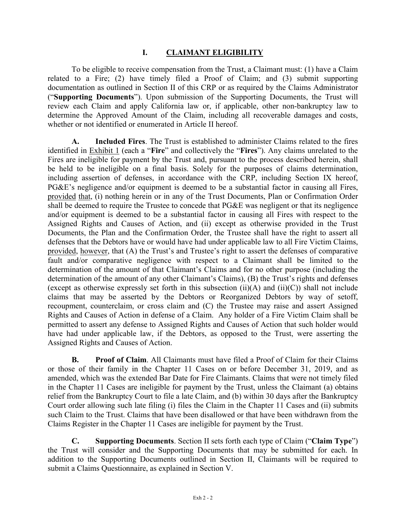# **I. CLAIMANT ELIGIBILITY**

To be eligible to receive compensation from the Trust, a Claimant must: (1) have a Claim related to a Fire; (2) have timely filed a Proof of Claim; and (3) submit supporting documentation as outlined in Section II of this CRP or as required by the Claims Administrator ("**Supporting Documents**"). Upon submission of the Supporting Documents, the Trust will review each Claim and apply California law or, if applicable, other non-bankruptcy law to determine the Approved Amount of the Claim, including all recoverable damages and costs, whether or not identified or enumerated in Article II hereof.

**A. Included Fires**. The Trust is established to administer Claims related to the fires identified in Exhibit 1 (each a "**Fire**" and collectively the "**Fires**"). Any claims unrelated to the Fires are ineligible for payment by the Trust and, pursuant to the process described herein, shall be held to be ineligible on a final basis. Solely for the purposes of claims determination, including assertion of defenses, in accordance with the CRP, including Section IX hereof, PG&E's negligence and/or equipment is deemed to be a substantial factor in causing all Fires, provided that, (i) nothing herein or in any of the Trust Documents, Plan or Confirmation Order shall be deemed to require the Trustee to concede that PG&E was negligent or that its negligence and/or equipment is deemed to be a substantial factor in causing all Fires with respect to the Assigned Rights and Causes of Action, and (ii) except as otherwise provided in the Trust Documents, the Plan and the Confirmation Order, the Trustee shall have the right to assert all defenses that the Debtors have or would have had under applicable law to all Fire Victim Claims, provided, however, that (A) the Trust's and Trustee's right to assert the defenses of comparative fault and/or comparative negligence with respect to a Claimant shall be limited to the determination of the amount of that Claimant's Claims and for no other purpose (including the determination of the amount of any other Claimant's Claims), (B) the Trust's rights and defenses (except as otherwise expressly set forth in this subsection  $(ii)(A)$  and  $(ii)(C)$ ) shall not include claims that may be asserted by the Debtors or Reorganized Debtors by way of setoff, recoupment, counterclaim, or cross claim and (C) the Trustee may raise and assert Assigned Rights and Causes of Action in defense of a Claim. Any holder of a Fire Victim Claim shall be permitted to assert any defense to Assigned Rights and Causes of Action that such holder would have had under applicable law, if the Debtors, as opposed to the Trust, were asserting the Assigned Rights and Causes of Action.

**B. Proof of Claim**. All Claimants must have filed a Proof of Claim for their Claims or those of their family in the Chapter 11 Cases on or before December 31, 2019, and as amended, which was the extended Bar Date for Fire Claimants. Claims that were not timely filed in the Chapter 11 Cases are ineligible for payment by the Trust, unless the Claimant (a) obtains relief from the Bankruptcy Court to file a late Claim, and (b) within 30 days after the Bankruptcy Court order allowing such late filing (i) files the Claim in the Chapter 11 Cases and (ii) submits such Claim to the Trust. Claims that have been disallowed or that have been withdrawn from the Claims Register in the Chapter 11 Cases are ineligible for payment by the Trust.

**C. Supporting Documents**. Section II sets forth each type of Claim ("**Claim Type**") the Trust will consider and the Supporting Documents that may be submitted for each. In addition to the Supporting Documents outlined in Section II, Claimants will be required to submit a Claims Questionnaire, as explained in Section V.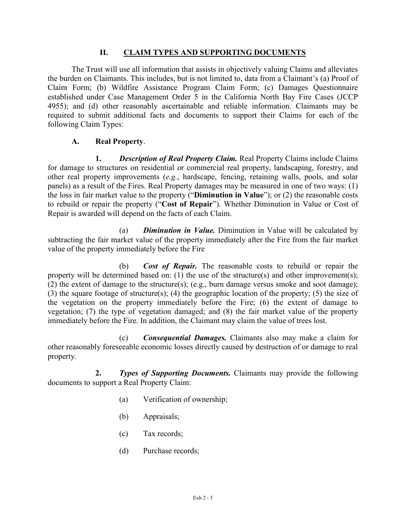## **II. CLAIM TYPES AND SUPPORTING DOCUMENTS**

The Trust will use all information that assists in objectively valuing Claims and alleviates the burden on Claimants. This includes, but is not limited to, data from a Claimant's (a) Proof of Claim Form; (b) Wildfire Assistance Program Claim Form; (c) Damages Questionnaire established under Case Management Order 5 in the California North Bay Fire Cases (JCCP 4955); and (d) other reasonably ascertainable and reliable information. Claimants may be required to submit additional facts and documents to support their Claims for each of the following Claim Types:

## **A. Real Property**.

**1.** *Description of Real Property Claim.* Real Property Claims include Claims for damage to structures on residential or commercial real property, landscaping, forestry, and other real property improvements (*e.g.*, hardscape, fencing, retaining walls, pools, and solar panels) as a result of the Fires. Real Property damages may be measured in one of two ways: (1) the loss in fair market value to the property ("**Diminution in Value**"); or (2) the reasonable costs to rebuild or repair the property ("**Cost of Repair**"). Whether Diminution in Value or Cost of Repair is awarded will depend on the facts of each Claim.

(a) *Diminution in Value.* Diminution in Value will be calculated by subtracting the fair market value of the property immediately after the Fire from the fair market value of the property immediately before the Fire

(b) *Cost of Repair.* The reasonable costs to rebuild or repair the property will be determined based on: (1) the use of the structure(s) and other improvement(s); (2) the extent of damage to the structure(s); (e.g., burn damage versus smoke and soot damage); (3) the square footage of structure(s); (4) the geographic location of the property; (5) the size of the vegetation on the property immediately before the Fire; (6) the extent of damage to vegetation; (7) the type of vegetation damaged; and (8) the fair market value of the property immediately before the Fire. In addition, the Claimant may claim the value of trees lost.

(c) *Consequential Damages.* Claimants also may make a claim for other reasonably foreseeable economic losses directly caused by destruction of or damage to real property.

**2.** *Types of Supporting Documents.* Claimants may provide the following documents to support a Real Property Claim:

- (a) Verification of ownership;
- (b) Appraisals;
- (c) Tax records;
- (d) Purchase records;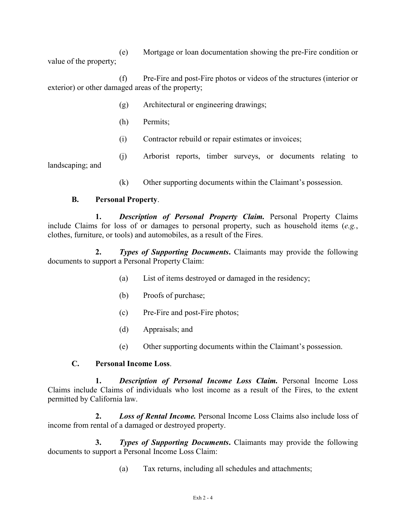(e) Mortgage or loan documentation showing the pre-Fire condition or value of the property;

(f) Pre-Fire and post-Fire photos or videos of the structures (interior or exterior) or other damaged areas of the property;

- (g) Architectural or engineering drawings;
- (h) Permits;
- (i) Contractor rebuild or repair estimates or invoices;
- (j) Arborist reports, timber surveys, or documents relating to landscaping; and
	- (k) Other supporting documents within the Claimant's possession.

# **B. Personal Property**.

**1.** *Description of Personal Property Claim.* Personal Property Claims include Claims for loss of or damages to personal property, such as household items (*e.g.*, clothes, furniture, or tools) and automobiles, as a result of the Fires.

**2.** *Types of Supporting Documents***.** Claimants may provide the following documents to support a Personal Property Claim:

- (a) List of items destroyed or damaged in the residency;
- (b) Proofs of purchase;
- (c) Pre-Fire and post-Fire photos;
- (d) Appraisals; and
- (e) Other supporting documents within the Claimant's possession.

# **C. Personal Income Loss**.

**1.** *Description of Personal Income Loss Claim.* Personal Income Loss Claims include Claims of individuals who lost income as a result of the Fires, to the extent permitted by California law.

**2.** *Loss of Rental Income.* Personal Income Loss Claims also include loss of income from rental of a damaged or destroyed property.

**3.** *Types of Supporting Documents***.** Claimants may provide the following documents to support a Personal Income Loss Claim:

(a) Tax returns, including all schedules and attachments;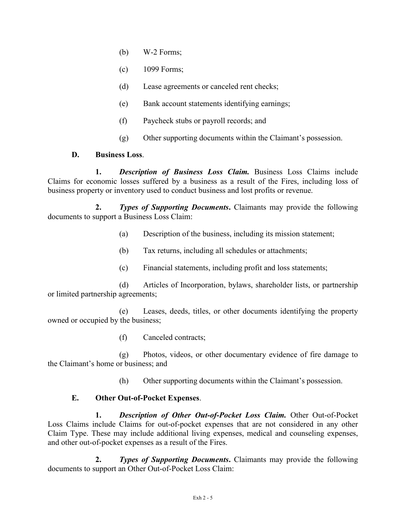- (b) W-2 Forms;
- (c) 1099 Forms;
- (d) Lease agreements or canceled rent checks;
- (e) Bank account statements identifying earnings;
- (f) Paycheck stubs or payroll records; and
- (g) Other supporting documents within the Claimant's possession.

## **D. Business Loss**.

**1.** *Description of Business Loss Claim.* Business Loss Claims include Claims for economic losses suffered by a business as a result of the Fires, including loss of business property or inventory used to conduct business and lost profits or revenue.

**2.** *Types of Supporting Documents***.** Claimants may provide the following documents to support a Business Loss Claim:

- (a) Description of the business, including its mission statement;
- (b) Tax returns, including all schedules or attachments;
- (c) Financial statements, including profit and loss statements;

(d) Articles of Incorporation, bylaws, shareholder lists, or partnership or limited partnership agreements;

(e) Leases, deeds, titles, or other documents identifying the property owned or occupied by the business;

(f) Canceled contracts;

(g) Photos, videos, or other documentary evidence of fire damage to the Claimant's home or business; and

(h) Other supporting documents within the Claimant's possession.

## **E. Other Out-of-Pocket Expenses**.

**1.** *Description of Other Out-of-Pocket Loss Claim.* Other Out-of-Pocket Loss Claims include Claims for out-of-pocket expenses that are not considered in any other Claim Type. These may include additional living expenses, medical and counseling expenses, and other out-of-pocket expenses as a result of the Fires.

**2.** *Types of Supporting Documents***.** Claimants may provide the following documents to support an Other Out-of-Pocket Loss Claim: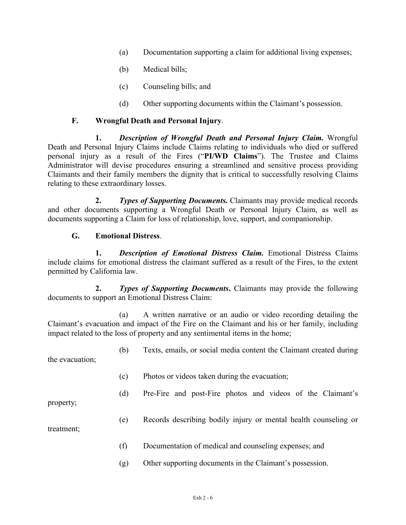- (a) Documentation supporting a claim for additional living expenses;
- (b) Medical bills;
- (c) Counseling bills; and
- (d) Other supporting documents within the Claimant's possession.

## **F. Wrongful Death and Personal Injury**.

**1.** *Description of Wrongful Death and Personal Injury Claim.* Wrongful Death and Personal Injury Claims include Claims relating to individuals who died or suffered personal injury as a result of the Fires ("**PI/WD Claims**"). The Trustee and Claims Administrator will devise procedures ensuring a streamlined and sensitive process providing Claimants and their family members the dignity that is critical to successfully resolving Claims relating to these extraordinary losses.

**2.** *Types of Supporting Documents.* Claimants may provide medical records and other documents supporting a Wrongful Death or Personal Injury Claim, as well as documents supporting a Claim for loss of relationship, love, support, and companionship.

## **G. Emotional Distress**.

**1.** *Description of Emotional Distress Claim.* Emotional Distress Claims include claims for emotional distress the claimant suffered as a result of the Fires, to the extent permitted by California law.

**2.** *Types of Supporting Documents***.** Claimants may provide the following documents to support an Emotional Distress Claim:

(a) A written narrative or an audio or video recording detailing the Claimant's evacuation and impact of the Fire on the Claimant and his or her family, including impact related to the loss of property and any sentimental items in the home;

(b) Texts, emails, or social media content the Claimant created during the evacuation;

- (c) Photos or videos taken during the evacuation;
- (d) Pre-Fire and post-Fire photos and videos of the Claimant's

property;

(e) Records describing bodily injury or mental health counseling or

treatment;

- (f) Documentation of medical and counseling expenses; and
- (g) Other supporting documents in the Claimant's possession.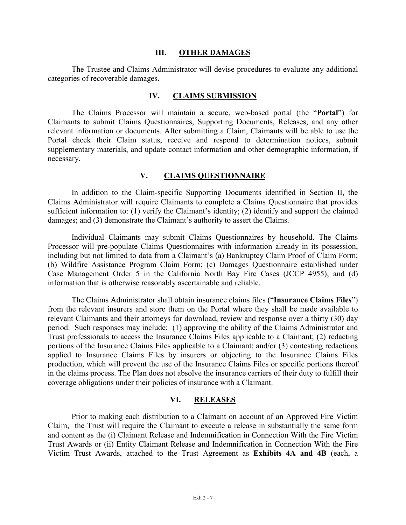#### **III. OTHER DAMAGES**

The Trustee and Claims Administrator will devise procedures to evaluate any additional categories of recoverable damages.

#### **IV. CLAIMS SUBMISSION**

The Claims Processor will maintain a secure, web-based portal (the "**Portal**") for Claimants to submit Claims Questionnaires, Supporting Documents, Releases, and any other relevant information or documents. After submitting a Claim, Claimants will be able to use the Portal check their Claim status, receive and respond to determination notices, submit supplementary materials, and update contact information and other demographic information, if necessary.

### **V. CLAIMS QUESTIONNAIRE**

In addition to the Claim-specific Supporting Documents identified in Section II, the Claims Administrator will require Claimants to complete a Claims Questionnaire that provides sufficient information to: (1) verify the Claimant's identity; (2) identify and support the claimed damages; and (3) demonstrate the Claimant's authority to assert the Claims.

Individual Claimants may submit Claims Questionnaires by household. The Claims Processor will pre-populate Claims Questionnaires with information already in its possession, including but not limited to data from a Claimant's (a) Bankruptcy Claim Proof of Claim Form; (b) Wildfire Assistance Program Claim Form; (c) Damages Questionnaire established under Case Management Order 5 in the California North Bay Fire Cases (JCCP 4955); and (d) information that is otherwise reasonably ascertainable and reliable.

The Claims Administrator shall obtain insurance claims files ("**Insurance Claims Files**") from the relevant insurers and store them on the Portal where they shall be made available to relevant Claimants and their attorneys for download, review and response over a thirty (30) day period. Such responses may include: (1) approving the ability of the Claims Administrator and Trust professionals to access the Insurance Claims Files applicable to a Claimant; (2) redacting portions of the Insurance Claims Files applicable to a Claimant; and/or (3) contesting redactions applied to Insurance Claims Files by insurers or objecting to the Insurance Claims Files production, which will prevent the use of the Insurance Claims Files or specific portions thereof in the claims process. The Plan does not absolve the insurance carriers of their duty to fulfill their coverage obligations under their policies of insurance with a Claimant.

## **VI. RELEASES**

Prior to making each distribution to a Claimant on account of an Approved Fire Victim Claim, the Trust will require the Claimant to execute a release in substantially the same form and content as the (i) Claimant Release and Indemnification in Connection With the Fire Victim Trust Awards or (ii) Entity Claimant Release and Indemnification in Connection With the Fire Victim Trust Awards, attached to the Trust Agreement as **Exhibits 4A and 4B** (each, a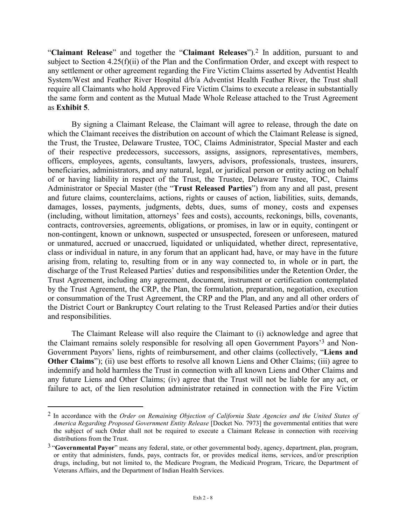"**Claimant Release**" and together the "**Claimant Releases**").2 In addition, pursuant to and subject to Section  $4.25(f)(ii)$  of the Plan and the Confirmation Order, and except with respect to any settlement or other agreement regarding the Fire Victim Claims asserted by Adventist Health System/West and Feather River Hospital d/b/a Adventist Health Feather River, the Trust shall require all Claimants who hold Approved Fire Victim Claims to execute a release in substantially the same form and content as the Mutual Made Whole Release attached to the Trust Agreement as **Exhibit 5**.

By signing a Claimant Release, the Claimant will agree to release, through the date on which the Claimant receives the distribution on account of which the Claimant Release is signed, the Trust, the Trustee, Delaware Trustee, TOC, Claims Administrator, Special Master and each of their respective predecessors, successors, assigns, assignors, representatives, members, officers, employees, agents, consultants, lawyers, advisors, professionals, trustees, insurers, beneficiaries, administrators, and any natural, legal, or juridical person or entity acting on behalf of or having liability in respect of the Trust, the Trustee, Delaware Trustee, TOC, Claims Administrator or Special Master (the "**Trust Released Parties**") from any and all past, present and future claims, counterclaims, actions, rights or causes of action, liabilities, suits, demands, damages, losses, payments, judgments, debts, dues, sums of money, costs and expenses (including, without limitation, attorneys' fees and costs), accounts, reckonings, bills, covenants, contracts, controversies, agreements, obligations, or promises, in law or in equity, contingent or non-contingent, known or unknown, suspected or unsuspected, foreseen or unforeseen, matured or unmatured, accrued or unaccrued, liquidated or unliquidated, whether direct, representative, class or individual in nature, in any forum that an applicant had, have, or may have in the future arising from, relating to, resulting from or in any way connected to, in whole or in part, the discharge of the Trust Released Parties' duties and responsibilities under the Retention Order, the Trust Agreement, including any agreement, document, instrument or certification contemplated by the Trust Agreement, the CRP, the Plan, the formulation, preparation, negotiation, execution or consummation of the Trust Agreement, the CRP and the Plan, and any and all other orders of the District Court or Bankruptcy Court relating to the Trust Released Parties and/or their duties and responsibilities.

The Claimant Release will also require the Claimant to (i) acknowledge and agree that the Claimant remains solely responsible for resolving all open Government Payors'3 and Non-Government Payors' liens, rights of reimbursement, and other claims (collectively, "**Liens and Other Claims**"); (ii) use best efforts to resolve all known Liens and Other Claims; (iii) agree to indemnify and hold harmless the Trust in connection with all known Liens and Other Claims and any future Liens and Other Claims; (iv) agree that the Trust will not be liable for any act, or failure to act, of the lien resolution administrator retained in connection with the Fire Victim

 <sup>2</sup> In accordance with the *Order on Remaining Objection of California State Agencies and the United States of America Regarding Proposed Government Entity Release* [Docket No. 7973] the governmental entities that were the subject of such Order shall not be required to execute a Claimant Release in connection with receiving distributions from the Trust.

<sup>3</sup> "**Governmental Payor**" means any federal, state, or other governmental body, agency, department, plan, program, or entity that administers, funds, pays, contracts for, or provides medical items, services, and/or prescription drugs, including, but not limited to, the Medicare Program, the Medicaid Program, Tricare, the Department of Veterans Affairs, and the Department of Indian Health Services.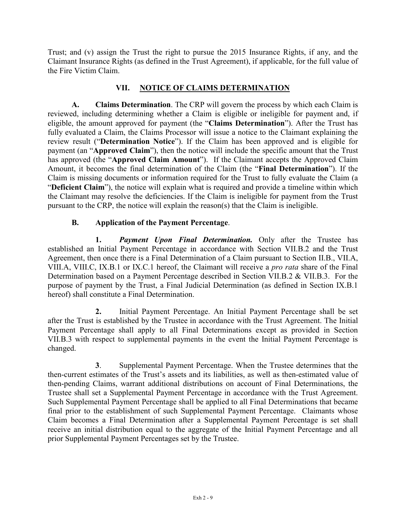Trust; and (v) assign the Trust the right to pursue the 2015 Insurance Rights, if any, and the Claimant Insurance Rights (as defined in the Trust Agreement), if applicable, for the full value of the Fire Victim Claim.

# **VII. NOTICE OF CLAIMS DETERMINATION**

**A. Claims Determination**. The CRP will govern the process by which each Claim is reviewed, including determining whether a Claim is eligible or ineligible for payment and, if eligible, the amount approved for payment (the "**Claims Determination**"). After the Trust has fully evaluated a Claim, the Claims Processor will issue a notice to the Claimant explaining the review result ("**Determination Notice**"). If the Claim has been approved and is eligible for payment (an "**Approved Claim**"), then the notice will include the specific amount that the Trust has approved (the "**Approved Claim Amount**"). If the Claimant accepts the Approved Claim Amount, it becomes the final determination of the Claim (the "**Final Determination**"). If the Claim is missing documents or information required for the Trust to fully evaluate the Claim (a "**Deficient Claim**"), the notice will explain what is required and provide a timeline within which the Claimant may resolve the deficiencies. If the Claim is ineligible for payment from the Trust pursuant to the CRP, the notice will explain the reason(s) that the Claim is ineligible.

# **B. Application of the Payment Percentage**.

**1.** *Payment Upon Final Determination.* Only after the Trustee has established an Initial Payment Percentage in accordance with Section VII.B.2 and the Trust Agreement, then once there is a Final Determination of a Claim pursuant to Section II.B., VII.A, VIII.A, VIII.C, IX.B.1 or IX.C.1 hereof, the Claimant will receive a *pro rata* share of the Final Determination based on a Payment Percentage described in Section VII.B.2 & VII.B.3. For the purpose of payment by the Trust, a Final Judicial Determination (as defined in Section IX.B.1 hereof) shall constitute a Final Determination.

**2.** Initial Payment Percentage. An Initial Payment Percentage shall be set after the Trust is established by the Trustee in accordance with the Trust Agreement. The Initial Payment Percentage shall apply to all Final Determinations except as provided in Section VII.B.3 with respect to supplemental payments in the event the Initial Payment Percentage is changed.

**3**. Supplemental Payment Percentage. When the Trustee determines that the then-current estimates of the Trust's assets and its liabilities, as well as then-estimated value of then-pending Claims, warrant additional distributions on account of Final Determinations, the Trustee shall set a Supplemental Payment Percentage in accordance with the Trust Agreement. Such Supplemental Payment Percentage shall be applied to all Final Determinations that became final prior to the establishment of such Supplemental Payment Percentage. Claimants whose Claim becomes a Final Determination after a Supplemental Payment Percentage is set shall receive an initial distribution equal to the aggregate of the Initial Payment Percentage and all prior Supplemental Payment Percentages set by the Trustee.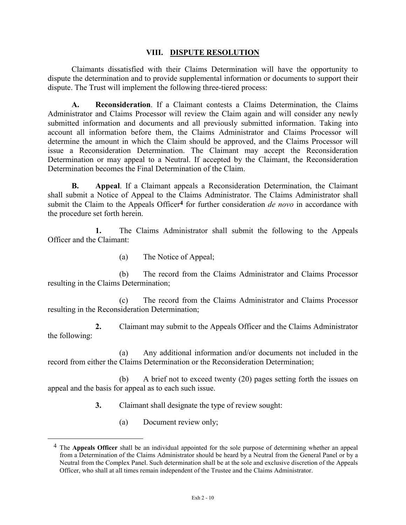## **VIII. DISPUTE RESOLUTION**

Claimants dissatisfied with their Claims Determination will have the opportunity to dispute the determination and to provide supplemental information or documents to support their dispute. The Trust will implement the following three-tiered process:

**A. Reconsideration**. If a Claimant contests a Claims Determination, the Claims Administrator and Claims Processor will review the Claim again and will consider any newly submitted information and documents and all previously submitted information. Taking into account all information before them, the Claims Administrator and Claims Processor will determine the amount in which the Claim should be approved, and the Claims Processor will issue a Reconsideration Determination. The Claimant may accept the Reconsideration Determination or may appeal to a Neutral. If accepted by the Claimant, the Reconsideration Determination becomes the Final Determination of the Claim.

**B. Appeal**. If a Claimant appeals a Reconsideration Determination, the Claimant shall submit a Notice of Appeal to the Claims Administrator. The Claims Administrator shall submit the Claim to the Appeals Officer**4** for further consideration *de novo* in accordance with the procedure set forth herein.

**1.** The Claims Administrator shall submit the following to the Appeals Officer and the Claimant:

(a) The Notice of Appeal;

(b) The record from the Claims Administrator and Claims Processor resulting in the Claims Determination;

(c) The record from the Claims Administrator and Claims Processor resulting in the Reconsideration Determination;

**2.** Claimant may submit to the Appeals Officer and the Claims Administrator the following:

(a) Any additional information and/or documents not included in the record from either the Claims Determination or the Reconsideration Determination;

(b) A brief not to exceed twenty (20) pages setting forth the issues on appeal and the basis for appeal as to each such issue.

**3.** Claimant shall designate the type of review sought:

(a) Document review only;

 <sup>4</sup> The **Appeals Officer** shall be an individual appointed for the sole purpose of determining whether an appeal from a Determination of the Claims Administrator should be heard by a Neutral from the General Panel or by a Neutral from the Complex Panel. Such determination shall be at the sole and exclusive discretion of the Appeals Officer, who shall at all times remain independent of the Trustee and the Claims Administrator.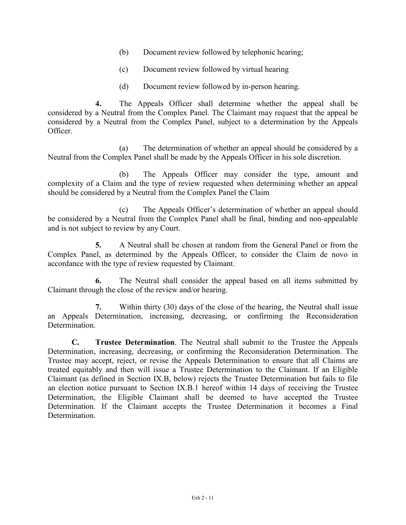- (b) Document review followed by telephonic hearing;
- (c) Document review followed by virtual hearing
- (d) Document review followed by in-person hearing.

**4.** The Appeals Officer shall determine whether the appeal shall be considered by a Neutral from the Complex Panel. The Claimant may request that the appeal be considered by a Neutral from the Complex Panel, subject to a determination by the Appeals Officer.

(a) The determination of whether an appeal should be considered by a Neutral from the Complex Panel shall be made by the Appeals Officer in his sole discretion.

(b) The Appeals Officer may consider the type, amount and complexity of a Claim and the type of review requested when determining whether an appeal should be considered by a Neutral from the Complex Panel the Claim

(c) The Appeals Officer's determination of whether an appeal should be considered by a Neutral from the Complex Panel shall be final, binding and non-appealable and is not subject to review by any Court.

**5.** A Neutral shall be chosen at random from the General Panel or from the Complex Panel, as determined by the Appeals Officer, to consider the Claim de novo in accordance with the type of review requested by Claimant.

**6.** The Neutral shall consider the appeal based on all items submitted by Claimant through the close of the review and/or hearing.

**7.** Within thirty (30) days of the close of the hearing, the Neutral shall issue an Appeals Determination, increasing, decreasing, or confirming the Reconsideration Determination.

**C. Trustee Determination**. The Neutral shall submit to the Trustee the Appeals Determination, increasing, decreasing, or confirming the Reconsideration Determination. The Trustee may accept, reject, or revise the Appeals Determination to ensure that all Claims are treated equitably and then will issue a Trustee Determination to the Claimant. If an Eligible Claimant (as defined in Section IX.B, below) rejects the Trustee Determination but fails to file an election notice pursuant to Section IX.B.1 hereof within 14 days of receiving the Trustee Determination, the Eligible Claimant shall be deemed to have accepted the Trustee Determination. If the Claimant accepts the Trustee Determination it becomes a Final **Determination**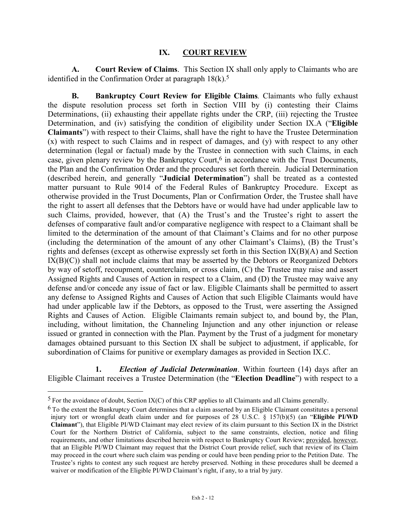### **IX. COURT REVIEW**

**A. Court Review of Claims**. This Section IX shall only apply to Claimants who are identified in the Confirmation Order at paragraph  $18(k)$ .<sup>5</sup>

**B. Bankruptcy Court Review for Eligible Claims***.* Claimants who fully exhaust the dispute resolution process set forth in Section VIII by (i) contesting their Claims Determinations, (ii) exhausting their appellate rights under the CRP, (iii) rejecting the Trustee Determination, and (iv) satisfying the condition of eligibility under Section IX.A ("**Eligible Claimants**") with respect to their Claims, shall have the right to have the Trustee Determination (x) with respect to such Claims and in respect of damages, and (y) with respect to any other determination (legal or factual) made by the Trustee in connection with such Claims, in each case, given plenary review by the Bankruptcy Court,<sup>6</sup> in accordance with the Trust Documents, the Plan and the Confirmation Order and the procedures set forth therein. Judicial Determination (described herein, and generally "**Judicial Determination**") shall be treated as a contested matter pursuant to Rule 9014 of the Federal Rules of Bankruptcy Procedure. Except as otherwise provided in the Trust Documents, Plan or Confirmation Order, the Trustee shall have the right to assert all defenses that the Debtors have or would have had under applicable law to such Claims, provided, however, that (A) the Trust's and the Trustee's right to assert the defenses of comparative fault and/or comparative negligence with respect to a Claimant shall be limited to the determination of the amount of that Claimant's Claims and for no other purpose (including the determination of the amount of any other Claimant's Claims), (B) the Trust's rights and defenses (except as otherwise expressly set forth in this Section IX(B)(A) and Section  $IX(B)(C)$ ) shall not include claims that may be asserted by the Debtors or Reorganized Debtors by way of setoff, recoupment, counterclaim, or cross claim, (C) the Trustee may raise and assert Assigned Rights and Causes of Action in respect to a Claim, and (D) the Trustee may waive any defense and/or concede any issue of fact or law. Eligible Claimants shall be permitted to assert any defense to Assigned Rights and Causes of Action that such Eligible Claimants would have had under applicable law if the Debtors, as opposed to the Trust, were asserting the Assigned Rights and Causes of Action. Eligible Claimants remain subject to, and bound by, the Plan, including, without limitation, the Channeling Injunction and any other injunction or release issued or granted in connection with the Plan. Payment by the Trust of a judgment for monetary damages obtained pursuant to this Section IX shall be subject to adjustment, if applicable, for subordination of Claims for punitive or exemplary damages as provided in Section IX.C.

**1.** *Election of Judicial Determination*. Within fourteen (14) days after an Eligible Claimant receives a Trustee Determination (the "**Election Deadline**") with respect to a

 $5$  For the avoidance of doubt, Section IX(C) of this CRP applies to all Claimants and all Claims generally.

 $6$  To the extent the Bankruptcy Court determines that a claim asserted by an Eligible Claimant constitutes a personal injury tort or wrongful death claim under and for purposes of 28 U.S.C. § 157(b)(5) (an "**Eligible PI/WD Claimant**"), that Eligible PI/WD Claimant may elect review of its claim pursuant to this Section IX in the District Court for the Northern District of California, subject to the same constraints, election, notice and filing requirements, and other limitations described herein with respect to Bankruptcy Court Review; provided, however, that an Eligible PI/WD Claimant may request that the District Court provide relief, such that review of its Claim may proceed in the court where such claim was pending or could have been pending prior to the Petition Date. The Trustee's rights to contest any such request are hereby preserved. Nothing in these procedures shall be deemed a waiver or modification of the Eligible PI/WD Claimant's right, if any, to a trial by jury.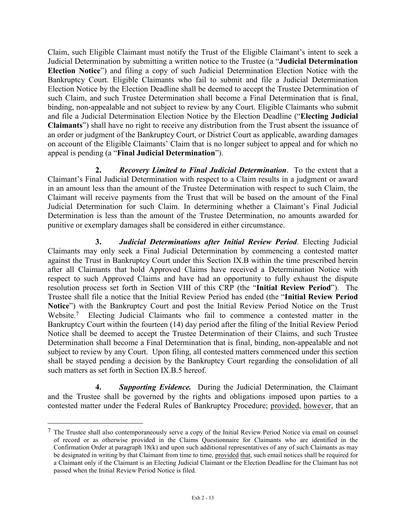Claim, such Eligible Claimant must notify the Trust of the Eligible Claimant's intent to seek a Judicial Determination by submitting a written notice to the Trustee (a "**Judicial Determination Election Notice**") and filing a copy of such Judicial Determination Election Notice with the Bankruptcy Court. Eligible Claimants who fail to submit and file a Judicial Determination Election Notice by the Election Deadline shall be deemed to accept the Trustee Determination of such Claim, and such Trustee Determination shall become a Final Determination that is final, binding, non-appealable and not subject to review by any Court. Eligible Claimants who submit and file a Judicial Determination Election Notice by the Election Deadline ("**Electing Judicial Claimants**") shall have no right to receive any distribution from the Trust absent the issuance of an order or judgment of the Bankruptcy Court, or District Court as applicable, awarding damages on account of the Eligible Claimants' Claim that is no longer subject to appeal and for which no appeal is pending (a "**Final Judicial Determination**").

**2.** *Recovery Limited to Final Judicial Determination*. To the extent that a Claimant's Final Judicial Determination with respect to a Claim results in a judgment or award in an amount less than the amount of the Trustee Determination with respect to such Claim, the Claimant will receive payments from the Trust that will be based on the amount of the Final Judicial Determination for such Claim. In determining whether a Claimant's Final Judicial Determination is less than the amount of the Trustee Determination, no amounts awarded for punitive or exemplary damages shall be considered in either circumstance.

**3.** *Judicial Determinations after Initial Review Period*. Electing Judicial Claimants may only seek a Final Judicial Determination by commencing a contested matter against the Trust in Bankruptcy Court under this Section IX.B within the time prescribed herein after all Claimants that hold Approved Claims have received a Determination Notice with respect to such Approved Claims and have had an opportunity to fully exhaust the dispute resolution process set forth in Section VIII of this CRP (the "**Initial Review Period**"). The Trustee shall file a notice that the Initial Review Period has ended (the "**Initial Review Period Notice**") with the Bankruptcy Court and post the Initial Review Period Notice on the Trust Website.7 Electing Judicial Claimants who fail to commence a contested matter in the Bankruptcy Court within the fourteen (14) day period after the filing of the Initial Review Period Notice shall be deemed to accept the Trustee Determination of their Claims, and such Trustee Determination shall become a Final Determination that is final, binding, non-appealable and not subject to review by any Court. Upon filing, all contested matters commenced under this section shall be stayed pending a decision by the Bankruptcy Court regarding the consolidation of all such matters as set forth in Section IX.B.5 hereof.

**4.** *Supporting Evidence.* During the Judicial Determination, the Claimant and the Trustee shall be governed by the rights and obligations imposed upon parties to a contested matter under the Federal Rules of Bankruptcy Procedure; provided, however, that an

 <sup>7</sup> The Trustee shall also contemporaneously serve a copy of the Initial Review Period Notice via email on counsel of record or as otherwise provided in the Claims Questionnaire for Claimants who are identified in the Confirmation Order at paragraph 18(k) and upon such additional representatives of any of such Claimants as may be designated in writing by that Claimant from time to time, provided that, such email notices shall be required for a Claimant only if the Claimant is an Electing Judicial Claimant or the Election Deadline for the Claimant has not passed when the Initial Review Period Notice is filed.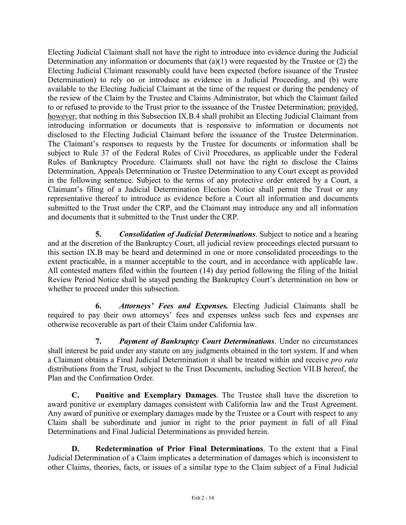Electing Judicial Claimant shall not have the right to introduce into evidence during the Judicial Determination any information or documents that  $(a)(1)$  were requested by the Trustee or  $(2)$  the Electing Judicial Claimant reasonably could have been expected (before issuance of the Trustee Determination) to rely on or introduce as evidence in a Judicial Proceeding, and (b) were available to the Electing Judicial Claimant at the time of the request or during the pendency of the review of the Claim by the Trustee and Claims Administrator, but which the Claimant failed to or refused to provide to the Trust prior to the issuance of the Trustee Determination; provided, however, that nothing in this Subsection IX.B.4 shall prohibit an Electing Judicial Claimant from introducing information or documents that is responsive to information or documents not disclosed to the Electing Judicial Claimant before the issuance of the Trustee Determination. The Claimant's responses to requests by the Trustee for documents or information shall be subject to Rule 37 of the Federal Rules of Civil Procedures, as applicable under the Federal Rules of Bankruptcy Procedure. Claimants shall not have the right to disclose the Claims Determination, Appeals Determination or Trustee Determination to any Court except as provided in the following sentence. Subject to the terms of any protective order entered by a Court, a Claimant's filing of a Judicial Determination Election Notice shall permit the Trust or any representative thereof to introduce as evidence before a Court all information and documents submitted to the Trust under the CRP, and the Claimant may introduce any and all information and documents that it submitted to the Trust under the CRP.

**5.** *Consolidation of Judicial Determinations*. Subject to notice and a hearing and at the discretion of the Bankruptcy Court, all judicial review proceedings elected pursuant to this section IX.B may be heard and determined in one or more consolidated proceedings to the extent practicable, in a manner acceptable to the court, and in accordance with applicable law. All contested matters filed within the fourteen (14) day period following the filing of the Initial Review Period Notice shall be stayed pending the Bankruptcy Court's determination on how or whether to proceed under this subsection.

**6.** *Attorneys' Fees and Expenses.* Electing Judicial Claimants shall be required to pay their own attorneys' fees and expenses unless such fees and expenses are otherwise recoverable as part of their Claim under California law.

**7.** *Payment of Bankruptcy Court Determinations*. Under no circumstances shall interest be paid under any statute on any judgments obtained in the tort system. If and when a Claimant obtains a Final Judicial Determination it shall be treated within and receive *pro rata* distributions from the Trust, subject to the Trust Documents, including Section VII.B hereof, the Plan and the Confirmation Order.

**C. Punitive and Exemplary Damages**. The Trustee shall have the discretion to award punitive or exemplary damages consistent with California law and the Trust Agreement. Any award of punitive or exemplary damages made by the Trustee or a Court with respect to any Claim shall be subordinate and junior in right to the prior payment in full of all Final Determinations and Final Judicial Determinations as provided herein.

**D. Redetermination of Prior Final Determinations**. To the extent that a Final Judicial Determination of a Claim implicates a determination of damages which is inconsistent to other Claims, theories, facts, or issues of a similar type to the Claim subject of a Final Judicial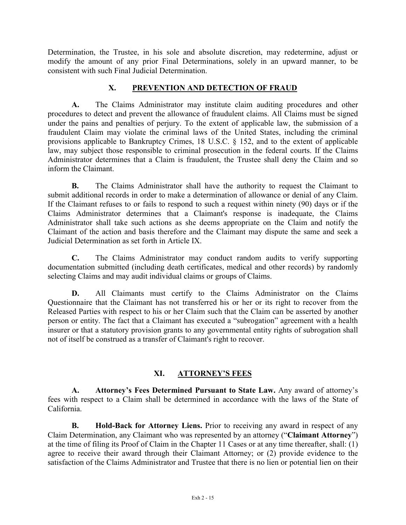Determination, the Trustee, in his sole and absolute discretion, may redetermine, adjust or modify the amount of any prior Final Determinations, solely in an upward manner, to be consistent with such Final Judicial Determination.

# **X. PREVENTION AND DETECTION OF FRAUD**

**A.** The Claims Administrator may institute claim auditing procedures and other procedures to detect and prevent the allowance of fraudulent claims. All Claims must be signed under the pains and penalties of perjury. To the extent of applicable law, the submission of a fraudulent Claim may violate the criminal laws of the United States, including the criminal provisions applicable to Bankruptcy Crimes, 18 U.S.C. § 152, and to the extent of applicable law, may subject those responsible to criminal prosecution in the federal courts. If the Claims Administrator determines that a Claim is fraudulent, the Trustee shall deny the Claim and so inform the Claimant.

**B.** The Claims Administrator shall have the authority to request the Claimant to submit additional records in order to make a determination of allowance or denial of any Claim. If the Claimant refuses to or fails to respond to such a request within ninety (90) days or if the Claims Administrator determines that a Claimant's response is inadequate, the Claims Administrator shall take such actions as she deems appropriate on the Claim and notify the Claimant of the action and basis therefore and the Claimant may dispute the same and seek a Judicial Determination as set forth in Article IX.

**C.** The Claims Administrator may conduct random audits to verify supporting documentation submitted (including death certificates, medical and other records) by randomly selecting Claims and may audit individual claims or groups of Claims.

**D.** All Claimants must certify to the Claims Administrator on the Claims Questionnaire that the Claimant has not transferred his or her or its right to recover from the Released Parties with respect to his or her Claim such that the Claim can be asserted by another person or entity. The fact that a Claimant has executed a "subrogation" agreement with a health insurer or that a statutory provision grants to any governmental entity rights of subrogation shall not of itself be construed as a transfer of Claimant's right to recover.

# **XI. ATTORNEY'S FEES**

**A. Attorney's Fees Determined Pursuant to State Law.** Any award of attorney's fees with respect to a Claim shall be determined in accordance with the laws of the State of California.

**B. Hold-Back for Attorney Liens.** Prior to receiving any award in respect of any Claim Determination, any Claimant who was represented by an attorney ("**Claimant Attorney**") at the time of filing its Proof of Claim in the Chapter 11 Cases or at any time thereafter, shall: (1) agree to receive their award through their Claimant Attorney; or (2) provide evidence to the satisfaction of the Claims Administrator and Trustee that there is no lien or potential lien on their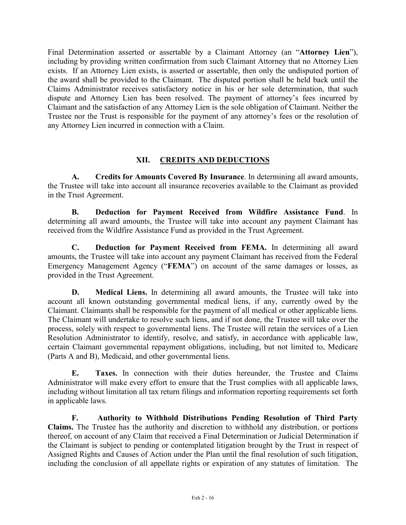Final Determination asserted or assertable by a Claimant Attorney (an "**Attorney Lien**"), including by providing written confirmation from such Claimant Attorney that no Attorney Lien exists. If an Attorney Lien exists, is asserted or assertable, then only the undisputed portion of the award shall be provided to the Claimant. The disputed portion shall be held back until the Claims Administrator receives satisfactory notice in his or her sole determination, that such dispute and Attorney Lien has been resolved. The payment of attorney's fees incurred by Claimant and the satisfaction of any Attorney Lien is the sole obligation of Claimant. Neither the Trustee nor the Trust is responsible for the payment of any attorney's fees or the resolution of any Attorney Lien incurred in connection with a Claim.

# **XII. CREDITS AND DEDUCTIONS**

**A. Credits for Amounts Covered By Insurance**. In determining all award amounts, the Trustee will take into account all insurance recoveries available to the Claimant as provided in the Trust Agreement.

**B. Deduction for Payment Received from Wildfire Assistance Fund**. In determining all award amounts, the Trustee will take into account any payment Claimant has received from the Wildfire Assistance Fund as provided in the Trust Agreement.

**C. Deduction for Payment Received from FEMA.** In determining all award amounts, the Trustee will take into account any payment Claimant has received from the Federal Emergency Management Agency ("**FEMA**") on account of the same damages or losses, as provided in the Trust Agreement.

**D. Medical Liens.** In determining all award amounts, the Trustee will take into account all known outstanding governmental medical liens, if any, currently owed by the Claimant. Claimants shall be responsible for the payment of all medical or other applicable liens. The Claimant will undertake to resolve such liens, and if not done, the Trustee will take over the process, solely with respect to governmental liens. The Trustee will retain the services of a Lien Resolution Administrator to identify, resolve, and satisfy, in accordance with applicable law, certain Claimant governmental repayment obligations, including, but not limited to, Medicare (Parts A and B), Medicaid, and other governmental liens.

**E. Taxes.** In connection with their duties hereunder, the Trustee and Claims Administrator will make every effort to ensure that the Trust complies with all applicable laws, including without limitation all tax return filings and information reporting requirements set forth in applicable laws.

**F. Authority to Withhold Distributions Pending Resolution of Third Party Claims.** The Trustee has the authority and discretion to withhold any distribution, or portions thereof, on account of any Claim that received a Final Determination or Judicial Determination if the Claimant is subject to pending or contemplated litigation brought by the Trust in respect of Assigned Rights and Causes of Action under the Plan until the final resolution of such litigation, including the conclusion of all appellate rights or expiration of any statutes of limitation. The